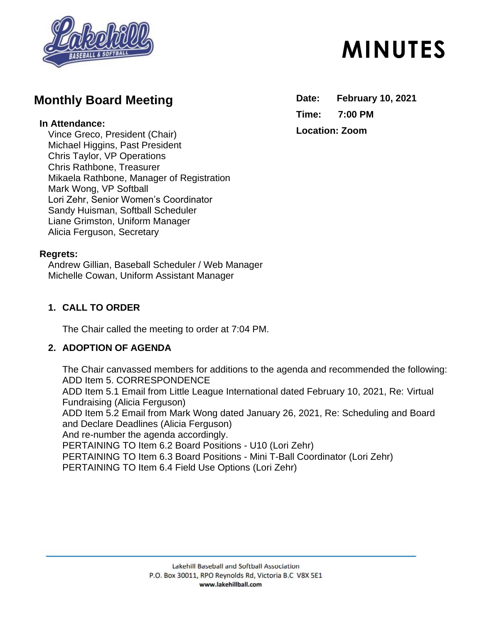

# **Monthly Board Meeting**

#### **In Attendance:**

Vince Greco, President (Chair) Michael Higgins, Past President Chris Taylor, VP Operations Chris Rathbone, Treasurer Mikaela Rathbone, Manager of Registration Mark Wong, VP Softball Lori Zehr, Senior Women's Coordinator Sandy Huisman, Softball Scheduler Liane Grimston, Uniform Manager Alicia Ferguson, Secretary

#### **Regrets:**

Andrew Gillian, Baseball Scheduler / Web Manager Michelle Cowan, Uniform Assistant Manager

### **1. CALL TO ORDER**

The Chair called the meeting to order at 7:04 PM.

#### **2. ADOPTION OF AGENDA**

The Chair canvassed members for additions to the agenda and recommended the following: ADD Item 5. CORRESPONDENCE ADD Item 5.1 Email from Little League International dated February 10, 2021, Re: Virtual Fundraising (Alicia Ferguson) ADD Item 5.2 Email from Mark Wong dated January 26, 2021, Re: Scheduling and Board and Declare Deadlines (Alicia Ferguson) And re-number the agenda accordingly. PERTAINING TO Item 6.2 Board Positions - U10 (Lori Zehr) PERTAINING TO Item 6.3 Board Positions - Mini T-Ball Coordinator (Lori Zehr) PERTAINING TO Item 6.4 Field Use Options (Lori Zehr)

# **MINUTES**

**Date: February 10, 2021 Time: 7:00 PM Location: Zoom**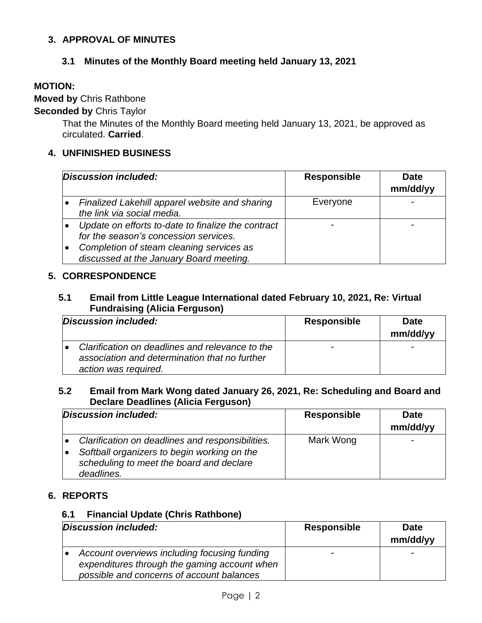#### **3. APPROVAL OF MINUTES**

#### **3.1 Minutes of the Monthly Board meeting held January 13, 2021**

#### **MOTION:**

#### **Moved by** Chris Rathbone

#### **Seconded by** Chris Taylor

That the Minutes of the Monthly Board meeting held January 13, 2021, be approved as circulated. **Carried**.

#### **4. UNFINISHED BUSINESS**

| Discussion included:                                                                                                                                                               | <b>Responsible</b> | <b>Date</b><br>mm/dd/yy |
|------------------------------------------------------------------------------------------------------------------------------------------------------------------------------------|--------------------|-------------------------|
| Finalized Lakehill apparel website and sharing<br>the link via social media.                                                                                                       | Everyone           |                         |
| Update on efforts to-date to finalize the contract<br>for the season's concession services.<br>Completion of steam cleaning services as<br>discussed at the January Board meeting. |                    |                         |

#### **5. CORRESPONDENCE**

#### **5.1 Email from Little League International dated February 10, 2021, Re: Virtual Fundraising (Alicia Ferguson)**

| Discussion included:                                                                                                     | <b>Responsible</b> | <b>Date</b><br>mm/dd/yy |
|--------------------------------------------------------------------------------------------------------------------------|--------------------|-------------------------|
| Clarification on deadlines and relevance to the<br>association and determination that no further<br>action was required. |                    |                         |

#### **5.2 Email from Mark Wong dated January 26, 2021, Re: Scheduling and Board and Declare Deadlines (Alicia Ferguson)**

| Discussion included:                                                                                                                                      | <b>Responsible</b> | <b>Date</b><br>mm/dd/yy |
|-----------------------------------------------------------------------------------------------------------------------------------------------------------|--------------------|-------------------------|
| Clarification on deadlines and responsibilities.<br>Softball organizers to begin working on the<br>scheduling to meet the board and declare<br>deadlines. | Mark Wong          |                         |

#### **6. REPORTS**

#### **6.1 Financial Update (Chris Rathbone)**

| Discussion included:                                                                         | <b>Responsible</b> | <b>Date</b><br>mm/dd/yy |
|----------------------------------------------------------------------------------------------|--------------------|-------------------------|
| Account overviews including focusing funding<br>expenditures through the gaming account when |                    | $\sim$                  |
| possible and concerns of account balances                                                    |                    |                         |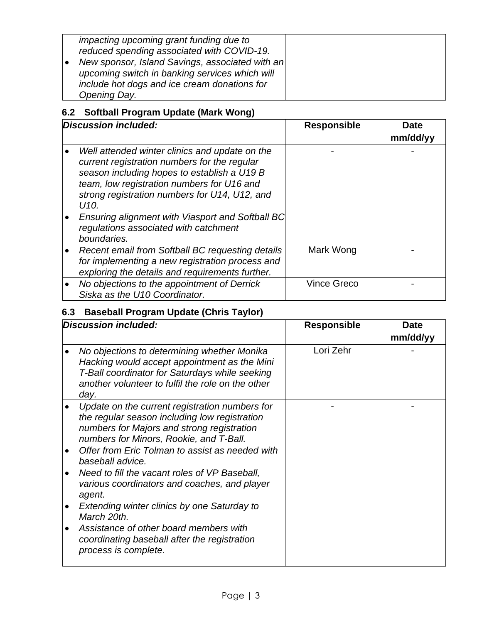| impacting upcoming grant funding due to<br>reduced spending associated with COVID-19. |  |
|---------------------------------------------------------------------------------------|--|
| New sponsor, Island Savings, associated with an                                       |  |
| upcoming switch in banking services which will                                        |  |
| include hot dogs and ice cream donations for                                          |  |
| Opening Day.                                                                          |  |

## **6.2 Softball Program Update (Mark Wong)**

| Discussion included:                                                                                                                                                                                                                                                                                                                                                        | <b>Responsible</b> | Date<br>mm/dd/yy |
|-----------------------------------------------------------------------------------------------------------------------------------------------------------------------------------------------------------------------------------------------------------------------------------------------------------------------------------------------------------------------------|--------------------|------------------|
| Well attended winter clinics and update on the<br>current registration numbers for the regular<br>season including hopes to establish a U19 B<br>team, low registration numbers for U16 and<br>strong registration numbers for U14, U12, and<br>U <sub>10</sub><br>Ensuring alignment with Viasport and Softball BC<br>regulations associated with catchment<br>boundaries. |                    |                  |
| Recent email from Softball BC requesting details<br>for implementing a new registration process and<br>exploring the details and requirements further.                                                                                                                                                                                                                      | Mark Wong          |                  |
| No objections to the appointment of Derrick<br>Siska as the U10 Coordinator.                                                                                                                                                                                                                                                                                                | <b>Vince Greco</b> |                  |

# **6.3 Baseball Program Update (Chris Taylor)**

| Discussion included:                                                                                                                                                                                                                                                                                             | <b>Responsible</b> | <b>Date</b><br>mm/dd/yy |
|------------------------------------------------------------------------------------------------------------------------------------------------------------------------------------------------------------------------------------------------------------------------------------------------------------------|--------------------|-------------------------|
| No objections to determining whether Monika<br>Hacking would accept appointment as the Mini<br>T-Ball coordinator for Saturdays while seeking<br>another volunteer to fulfil the role on the other<br>day.                                                                                                       | Lori Zehr          |                         |
| Update on the current registration numbers for<br>the regular season including low registration<br>numbers for Majors and strong registration<br>numbers for Minors, Rookie, and T-Ball.<br>Offer from Eric Tolman to assist as needed with<br>baseball advice.<br>Need to fill the vacant roles of VP Baseball, |                    |                         |
| various coordinators and coaches, and player<br>agent.<br>Extending winter clinics by one Saturday to<br>March 20th.<br>Assistance of other board members with<br>coordinating baseball after the registration<br>process is complete.                                                                           |                    |                         |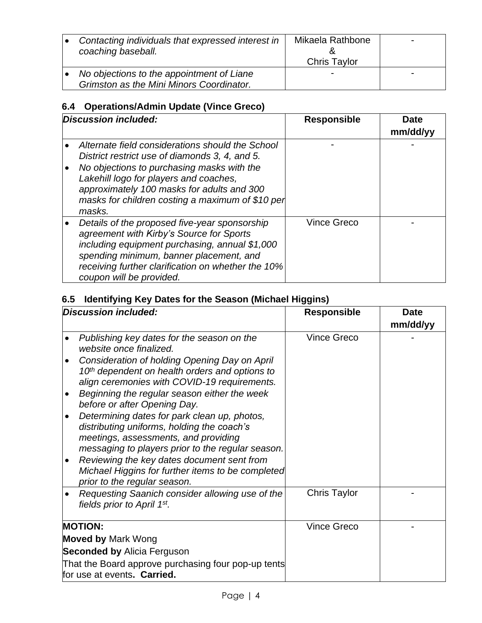| Contacting individuals that expressed interest in<br>coaching baseball.               | Mikaela Rathbone<br><b>Chris Taylor</b> |  |
|---------------------------------------------------------------------------------------|-----------------------------------------|--|
| No objections to the appointment of Liane<br>Grimston as the Mini Minors Coordinator. |                                         |  |

# **6.4 Operations/Admin Update (Vince Greco)**

| Discussion included:                                                                                                                                                                                                                                                                                   | <b>Responsible</b> | Date<br>mm/dd/yy |
|--------------------------------------------------------------------------------------------------------------------------------------------------------------------------------------------------------------------------------------------------------------------------------------------------------|--------------------|------------------|
| Alternate field considerations should the School<br>District restrict use of diamonds 3, 4, and 5.<br>No objections to purchasing masks with the<br>Lakehill logo for players and coaches,<br>approximately 100 masks for adults and 300<br>masks for children costing a maximum of \$10 per<br>masks. |                    |                  |
| Details of the proposed five-year sponsorship<br>agreement with Kirby's Source for Sports<br>including equipment purchasing, annual \$1,000<br>spending minimum, banner placement, and<br>receiving further clarification on whether the 10%<br>coupon will be provided.                               | <b>Vince Greco</b> |                  |

## **6.5 Identifying Key Dates for the Season (Michael Higgins)**

|                                    | <b>Discussion included:</b>                                                                                                                                                                                                                                                                                                | <b>Responsible</b> | <b>Date</b><br>mm/dd/yy |
|------------------------------------|----------------------------------------------------------------------------------------------------------------------------------------------------------------------------------------------------------------------------------------------------------------------------------------------------------------------------|--------------------|-------------------------|
|                                    | Publishing key dates for the season on the<br>website once finalized.                                                                                                                                                                                                                                                      | <b>Vince Greco</b> |                         |
|                                    | Consideration of holding Opening Day on April<br>10 <sup>th</sup> dependent on health orders and options to<br>align ceremonies with COVID-19 requirements.<br>Beginning the regular season either the week                                                                                                                |                    |                         |
|                                    | before or after Opening Day.                                                                                                                                                                                                                                                                                               |                    |                         |
|                                    | Determining dates for park clean up, photos,<br>distributing uniforms, holding the coach's<br>meetings, assessments, and providing<br>messaging to players prior to the regular season.<br>Reviewing the key dates document sent from<br>Michael Higgins for further items to be completed<br>prior to the regular season. |                    |                         |
|                                    | Requesting Saanich consider allowing use of the<br>fields prior to April 1st.                                                                                                                                                                                                                                              | Chris Taylor       |                         |
|                                    | <b>MOTION:</b>                                                                                                                                                                                                                                                                                                             | <b>Vince Greco</b> |                         |
| <b>Moved by Mark Wong</b>          |                                                                                                                                                                                                                                                                                                                            |                    |                         |
| <b>Seconded by Alicia Ferguson</b> |                                                                                                                                                                                                                                                                                                                            |                    |                         |
|                                    | That the Board approve purchasing four pop-up tents<br>for use at events. Carried.                                                                                                                                                                                                                                         |                    |                         |